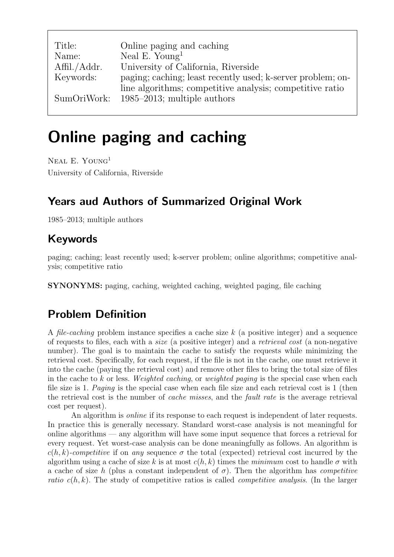| Title:       | Online paging and caching                                   |
|--------------|-------------------------------------------------------------|
| Name:        | Neal E. Young <sup>1</sup>                                  |
| Affil./Addr. | University of California, Riverside                         |
| Keywords:    | paging; caching; least recently used; k-server problem; on- |
|              | line algorithms; competitive analysis; competitive ratio    |
| SumOriWork:  | 1985–2013; multiple authors                                 |

# Online paging and caching

NEAL E. YOUNG<sup>1</sup> University of California, Riverside

# Years aud Authors of Summarized Original Work

1985–2013; multiple authors

# Keywords

paging; caching; least recently used; k-server problem; online algorithms; competitive analysis; competitive ratio

SYNONYMS: paging, caching, weighted caching, weighted paging, file caching

# Problem Definition

A *file-caching* problem instance specifies a cache size  $k$  (a positive integer) and a sequence of requests to files, each with a size (a positive integer) and a retrieval cost (a non-negative number). The goal is to maintain the cache to satisfy the requests while minimizing the retrieval cost. Specifically, for each request, if the file is not in the cache, one must retrieve it into the cache (paying the retrieval cost) and remove other files to bring the total size of files in the cache to k or less. Weighted caching, or weighted paging is the special case when each file size is 1. Paging is the special case when each file size and each retrieval cost is 1 (then the retrieval cost is the number of cache misses, and the fault rate is the average retrieval cost per request).

An algorithm is *online* if its response to each request is independent of later requests. In practice this is generally necessary. Standard worst-case analysis is not meaningful for online algorithms — any algorithm will have some input sequence that forces a retrieval for every request. Yet worst-case analysis can be done meaningfully as follows. An algorithm is  $c(h, k)$ -competitive if on any sequence  $\sigma$  the total (expected) retrieval cost incurred by the algorithm using a cache of size k is at most  $c(h, k)$  times the minimum cost to handle  $\sigma$  with a cache of size h (plus a constant independent of  $\sigma$ ). Then the algorithm has *competitive* ratio  $c(h, k)$ . The study of competitive ratios is called *competitive analysis*. (In the larger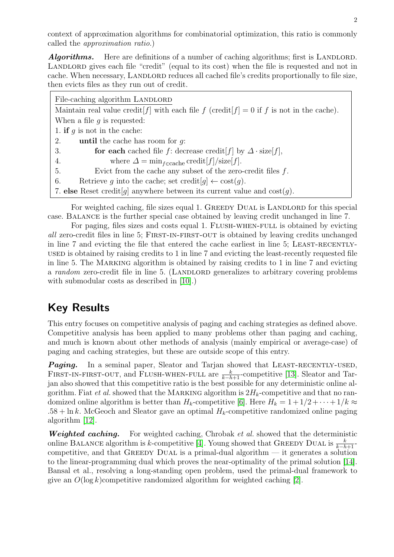context of approximation algorithms for combinatorial optimization, this ratio is commonly called the approximation ratio.)

**Algorithms.** Here are definitions of a number of caching algorithms; first is LANDLORD. LANDLORD gives each file "credit" (equal to its cost) when the file is requested and not in cache. When necessary, LANDLORD reduces all cached file's credits proportionally to file size, then evicts files as they run out of credit.

| File-caching algorithm LANDLORD                                                                |  |
|------------------------------------------------------------------------------------------------|--|
| Maintain real value credit $[f]$ with each file f (credit $[f] = 0$ if f is not in the cache). |  |
| When a file $q$ is requested:                                                                  |  |
| 1. if q is not in the cache:                                                                   |  |
| 2.<br><b>until</b> the cache has room for $q$ .                                                |  |
| for each cached file f: decrease credit $[f]$ by $\Delta \cdot \text{size}[f]$ ,<br>3.         |  |
| where $\Delta = \min_{f \in \text{cache}} \text{credit}[f] / \text{size}[f].$<br>4.            |  |
| Evict from the cache any subset of the zero-credit files $f$ .<br>5.                           |  |
| Retrieve g into the cache; set credit $[g] \leftarrow \text{cost}(g)$ .<br>6.                  |  |
| 7. else Reset credit [g] anywhere between its current value and $\cos(t)$ .                    |  |

For weighted caching, file sizes equal 1. GREEDY DUAL is LANDLORD for this special case. Balance is the further special case obtained by leaving credit unchanged in line 7.

For paging, files sizes and costs equal 1. FLUSH-WHEN-FULL is obtained by evicting all zero-credit files in line 5; First-in-first-out is obtained by leaving credits unchanged in line 7 and evicting the file that entered the cache earliest in line 5; LEAST-RECENTLYused is obtained by raising credits to 1 in line 7 and evicting the least-recently requested file in line 5. The Marking algorithm is obtained by raising credits to 1 in line 7 and evicting a *random* zero-credit file in line 5. (LANDLORD generalizes to arbitrary covering problems with submodular costs as described in [\[10\]](#page-4-0).)

# Key Results

This entry focuses on competitive analysis of paging and caching strategies as defined above. Competitive analysis has been applied to many problems other than paging and caching, and much is known about other methods of analysis (mainly empirical or average-case) of paging and caching strategies, but these are outside scope of this entry.

Paging. In a seminal paper, Sleator and Tarjan showed that LEAST-RECENTLY-USED, FIRST-IN-FIRST-OUT, and FLUSH-WHEN-FULL are  $\frac{k}{k-h+1}$ -competitive [\[13\]](#page-4-1). Sleator and Tarjan also showed that this competitive ratio is the best possible for any deterministic online algorithm. Fiat *et al.* showed that the MARKING algorithm is  $2H_k$ -competitive and that no randomized online algorithm is better than  $H_k$ -competitive [\[6\]](#page-4-2). Here  $H_k = 1 + 1/2 + \cdots + 1/k \approx$  $.58 + \ln k$ . McGeoch and Sleator gave an optimal  $H_k$ -competitive randomized online paging algorithm [\[12\]](#page-4-3).

**Weighted caching.** For weighted caching, Chrobak et al. showed that the deterministic online BALANCE algorithm is k-competitive [\[4\]](#page-4-4). Young showed that GREEDY DUAL is  $\frac{k}{k-h+1}$ competitive, and that GREEDY DUAL is a primal-dual algorithm  $-$  it generates a solution to the linear-programming dual which proves the near-optimality of the primal solution [\[14\]](#page-4-5). Bansal et al., resolving a long-standing open problem, used the primal-dual framework to give an  $O(\log k)$ competitive randomized algorithm for weighted caching [\[2\]](#page-4-6).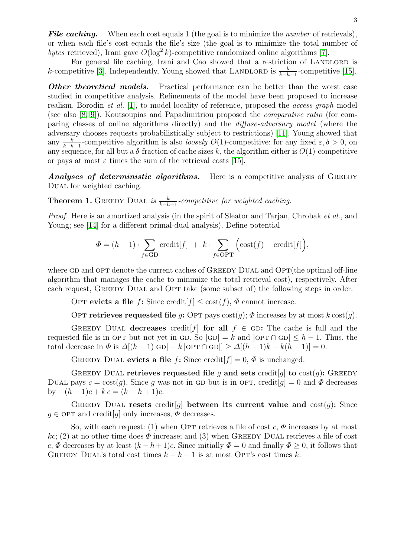File caching. When each cost equals 1 (the goal is to minimize the *number* of retrievals), or when each file's cost equals the file's size (the goal is to minimize the total number of bytes retrieved), Irani gave  $O(\log^2 k)$ -competitive randomized online algorithms [\[7\]](#page-4-7).

For general file caching, Irani and Cao showed that a restriction of LANDLORD is k-competitive [\[3\]](#page-4-8). Independently, Young showed that LANDLORD is  $\frac{k}{k-h+1}$ -competitive [\[15\]](#page-4-9).

**Other theoretical models.** Practical performance can be better than the worst case studied in competitive analysis. Refinements of the model have been proposed to increase realism. Borodin et al. [\[1\]](#page-4-10), to model locality of reference, proposed the access-graph model (see also [\[8;](#page-4-11) [9\]](#page-4-12)). Koutsoupias and Papadimitriou proposed the comparative ratio (for comparing classes of online algorithms directly) and the diffuse-adversary model (where the adversary chooses requests probabilistically subject to restrictions) [\[11\]](#page-4-13). Young showed that any  $\frac{k}{k-h+1}$ -competitive algorithm is also *loosely O*(1)-competitive: for any fixed  $\varepsilon, \delta > 0$ , on any sequence, for all but a  $\delta$ -fraction of cache sizes k, the algorithm either is  $O(1)$ -competitive or pays at most  $\varepsilon$  times the sum of the retrieval costs [\[15\]](#page-4-9).

Analyses of deterministic algorithms. Here is a competitive analysis of GREEDY DUAL for weighted caching.

**Theorem 1.** GREEDY DUAL is  $\frac{k}{k-h+1}$ -competitive for weighted caching.

Proof. Here is an amortized analysis (in the spirit of Sleator and Tarjan, Chrobak et al., and Young; see [\[14\]](#page-4-5) for a different primal-dual analysis). Define potential

$$
\Phi = (h-1) \cdot \sum_{f \in \text{GD}} \text{credit}[f] + k \cdot \sum_{f \in \text{OPT}} \Big( \text{cost}(f) - \text{credit}[f] \Big),
$$

where GD and OPT denote the current caches of GREEDY DUAL and  $\text{OPT}$  (the optimal off-line algorithm that manages the cache to minimize the total retrieval cost), respectively. After each request, GREEDY DUAL and OPT take (some subset of) the following steps in order.

OPT evicts a file f: Since credit  $[f] \leq \text{cost}(f)$ ,  $\Phi$  cannot increase.

OPT retrieves requested file q: OPT pays  $cost(q)$ ;  $\Phi$  increases by at most  $k \cos(q)$ .

GREEDY DUAL decreases credit  $f$  for all  $f \in$  GD: The cache is full and the requested file is in OPT but not yet in GD. So  $|GD| = k$  and  $|OPT \cap GD| \leq h - 1$ . Thus, the total decrease in  $\Phi$  is  $\Delta[(h-1)|GD| - k |OPT \cap GD| \ge \Delta[(h-1)k - k(h-1)] = 0.$ 

GREEDY DUAL evicts a file f: Since credit  $[f] = 0$ ,  $\Phi$  is unchanged.

GREEDY DUAL retrieves requested file g and sets credit g to  $cost(g)$ : GREEDY DUAL pays  $c = \text{cost}(q)$ . Since q was not in GD but is in OPT, credit  $[q] = 0$  and  $\Phi$  decreases by  $-(h-1)c + kc = (k-h+1)c$ .

GREEDY DUAL resets credit q between its current value and  $cost(q)$ : Since  $g \in \text{OPT}$  and credit q only increases,  $\Phi$  decreases.

So, with each request: (1) when OPT retrieves a file of cost c,  $\Phi$  increases by at most kc; (2) at no other time does  $\Phi$  increase; and (3) when GREEDY DUAL retrieves a file of cost c,  $\Phi$  decreases by at least  $(k - h + 1)c$ . Since initially  $\Phi = 0$  and finally  $\Phi > 0$ , it follows that GREEDY DUAL's total cost times  $k - h + 1$  is at most OPT's cost times k.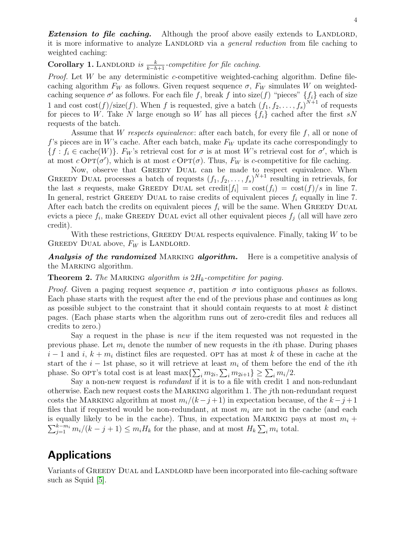**Extension to file caching.** Although the proof above easily extends to LANDLORD, it is more informative to analyze LANDLORD via a *general reduction* from file caching to weighted caching:

# Corollary 1. LANDLORD is  $\frac{k}{k-h+1}$ -competitive for file caching.

*Proof.* Let W be any deterministic c-competitive weighted-caching algorithm. Define filecaching algorithm  $F_W$  as follows. Given request sequence  $\sigma$ ,  $F_W$  simulates W on weightedcaching sequence  $\sigma'$  as follows. For each file f, break f into size(f) "pieces"  $\{f_i\}$  each of size 1 and cost  $\cos(f)/\text{size}(f)$ . When f is requested, give a batch  $(f_1, f_2, \ldots, f_s)^{N+1}$  of requests for pieces to W. Take N large enough so W has all pieces  $\{f_i\}$  cached after the first sN requests of the batch.

Assume that W respects equivalence: after each batch, for every file  $f$ , all or none of f's pieces are in W's cache. After each batch, make  $F_W$  update its cache correspondingly to  $\{f : f_i \in \text{cache}(W)\}\$ .  $F_W$ 's retrieval cost for  $\sigma$  is at most W's retrieval cost for  $\sigma'$ , which is at most  $c$  Op $T(\sigma')$ , which is at most  $c$  Op $T(\sigma)$ . Thus,  $F_W$  is c-competitive for file caching.

Now, observe that GREEDY DUAL can be made to respect equivalence. When GREEDY DUAL processes a batch of requests  $(f_1, f_2, \ldots, f_s)^{N+1}$  resulting in retrievals, for the last s requests, make GREEDY DUAL set credit  $[f_i] = \cos(f_i) = \cos(f)/s$  in line 7. In general, restrict GREEDY DUAL to raise credits of equivalent pieces  $f_i$  equally in line 7. After each batch the credits on equivalent pieces  $f_i$  will be the same. When GREEDY DUAL evicts a piece  $f_i$ , make GREEDY DUAL evict all other equivalent pieces  $f_j$  (all will have zero credit).

With these restrictions, GREEDY DUAL respects equivalence. Finally, taking  $W$  to be GREEDY DUAL above,  $F_W$  is LANDLORD.

Analysis of the randomized MARKING algorithm. Here is a competitive analysis of the MARKING algorithm.

#### **Theorem 2.** The MARKING algorithm is  $2H_k$ -competitive for paging.

*Proof.* Given a paging request sequence  $\sigma$ , partition  $\sigma$  into contiguous phases as follows. Each phase starts with the request after the end of the previous phase and continues as long as possible subject to the constraint that it should contain requests to at most  $k$  distinct pages. (Each phase starts when the algorithm runs out of zero-credit files and reduces all credits to zero.)

Say a request in the phase is new if the item requested was not requested in the previous phase. Let  $m_i$  denote the number of new requests in the *i*th phase. During phases  $i-1$  and i,  $k + m_i$  distinct files are requested. OPT has at most k of these in cache at the start of the  $i - 1$ st phase, so it will retrieve at least  $m_i$  of them before the end of the *i*th phase. So OPT's total cost is at least  $\max\{\sum_i m_{2i}, \sum_i m_{2i+1}\} \ge \sum_i m_i/2$ .

Say a non-new request is *redundant* if it is to a file with credit 1 and non-redundant otherwise. Each new request costs the Marking algorithm 1. The jth non-redundant request costs the MARKING algorithm at most  $m_i/(k-j+1)$  in expectation because, of the  $k-j+1$ files that if requested would be non-redundant, at most  $m_i$  are not in the cache (and each is equally likely to be in the cache). Thus, in expectation MARKING pays at most  $m_i +$  $\sum_{j=1}^{k-m_i} m_i/(k-j+1) \leq m_i H_k$  for the phase, and at most  $H_k \sum_i m_i$  total.

# Applications

Variants of GREEDY DUAL and LANDLORD have been incorporated into file-caching software such as Squid [\[5\]](#page-4-14).